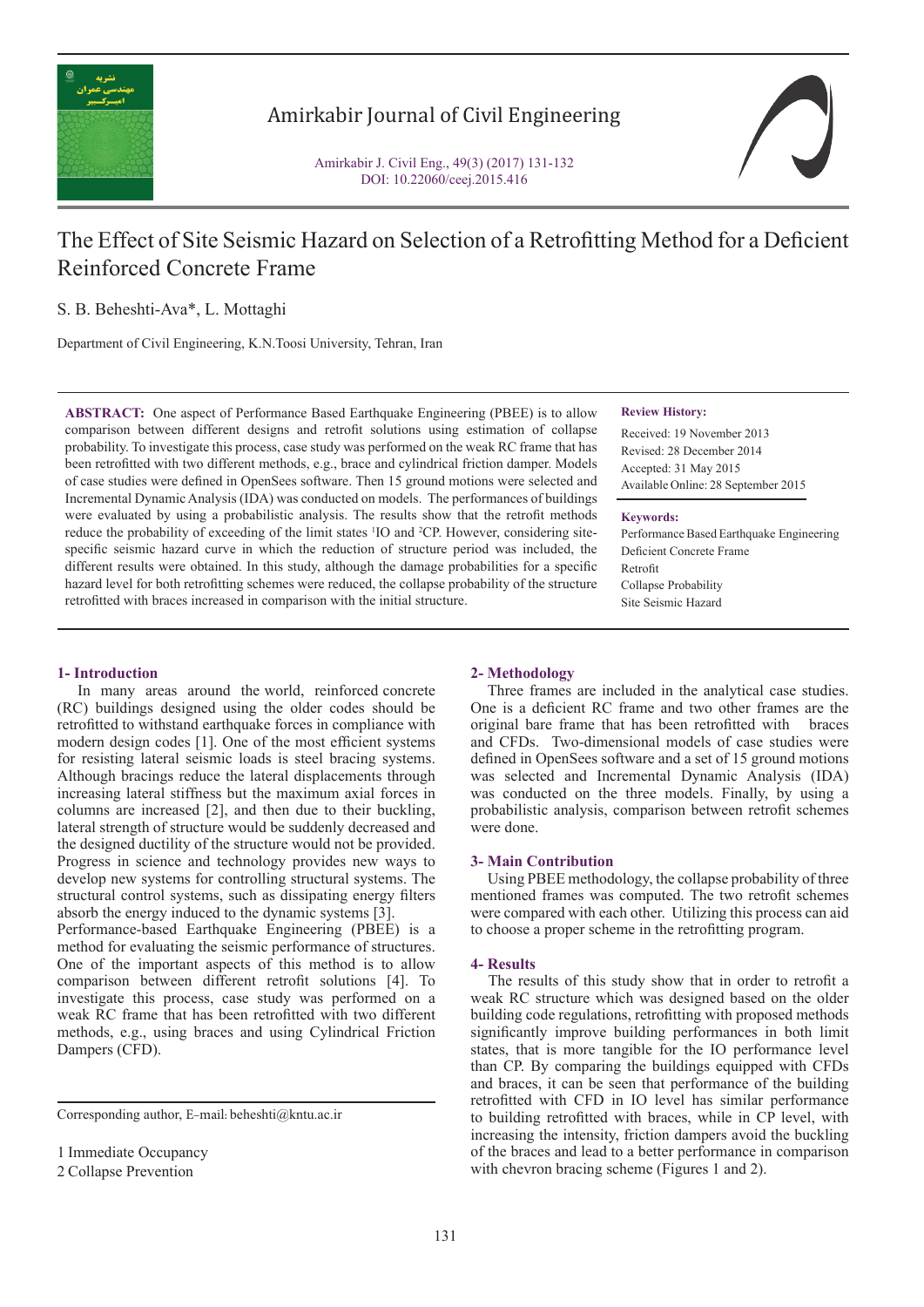

# Amirkabir Journal of Civil Engineering

Amirkabir J. Civil Eng., 49(3) (2017) 131-132 DOI: 10.22060/ceej.2015.416



# The Effect of Site Seismic Hazard on Selection of a Retrofitting Method for a Deficient Reinforced Concrete Frame

S. B. Beheshti-Ava\*, L. Mottaghi

Department of Civil Engineering, K.N.Toosi University, Tehran, Iran

**ABSTRACT:** One aspect of Performance Based Earthquake Engineering (PBEE) is to allow comparison between different designs and retrofit solutions using estimation of collapse probability. To investigate this process, case study was performed on the weak RC frame that has been retrofitted with two different methods, e.g., brace and cylindrical friction damper. Models of case studies were defined in OpenSees software. Then 15 ground motions were selected and Incremental Dynamic Analysis (IDA) was conducted on models. The performances of buildings were evaluated by using a probabilistic analysis. The results show that the retrofit methods reduce the probability of exceeding of the limit states <sup>1</sup>IO and <sup>2</sup>CP. However, considering sitespecific seismic hazard curve in which the reduction of structure period was included, the different results were obtained. In this study, although the damage probabilities for a specific hazard level for both retrofitting schemes were reduced, the collapse probability of the structure retrofitted with braces increased in comparison with the initial structure.

### **Review History:**

Received: 19 November 2013 Revised: 28 December 2014 Accepted: 31 May 2015 Available Online: 28 September 2015

#### **Keywords:**

Performance Based Earthquake Engineering Deficient Concrete Frame Retrofit Collapse Probability Site Seismic Hazard

# **1- Introduction**

In many areas around the world, reinforced concrete (RC) buildings designed using the older codes should be retrofitted to withstand earthquake forces in compliance with modern design codes [1]. One of the most efficient systems for resisting lateral seismic loads is steel bracing systems. Although bracings reduce the lateral displacements through increasing lateral stiffness but the maximum axial forces in columns are increased [2], and then due to their buckling, lateral strength of structure would be suddenly decreased and the designed ductility of the structure would not be provided. Progress in science and technology provides new ways to develop new systems for controlling structural systems. The structural control systems, such as dissipating energy filters absorb the energy induced to the dynamic systems [3]. Performance-based Earthquake Engineering (PBEE) is a

method for evaluating the seismic performance of structures. One of the important aspects of this method is to allow comparison between different retrofit solutions [4]. To investigate this process, case study was performed on a weak RC frame that has been retrofitted with two different methods, e.g., using braces and using Cylindrical Friction Dampers (CFD).

Corresponding author, E-mail: beheshti@kntu.ac.ir

2 Collapse Prevention

# **2- Methodology**

 Three frames are included in the analytical case studies. One is a deficient RC frame and two other frames are the original bare frame that has been retrofitted with braces original bare frame that has been retrofitted with and CFDs. Two-dimensional models of case studies were defined in OpenSees software and a set of 15 ground motions was selected and Incremental Dynamic Analysis (IDA) was conducted on the three models. Finally, by using a probabilistic analysis, comparison between retrofit schemes were done.

#### **3- Main Contribution**

 Using PBEE methodology, the collapse probability of three mentioned frames was computed. The two retrofit schemes were compared with each other. Utilizing this process can aid to choose a proper scheme in the retrofitting program.

#### **4- Results**

 The results of this study show that in order to retrofit a weak RC structure which was designed based on the older building code regulations, retrofitting with proposed methods significantly improve building performances in both limit states, that is more tangible for the IO performance level than CP. By comparing the buildings equipped with CFDs and braces, it can be seen that performance of the building retrofitted with CFD in IO level has similar performance to building retrofitted with braces, while in CP level, with increasing the intensity, friction dampers avoid the buckling of the braces and lead to a better performance in comparison with chevron bracing scheme (Figures 1 and 2).

<sup>1</sup> Immediate Occupancy